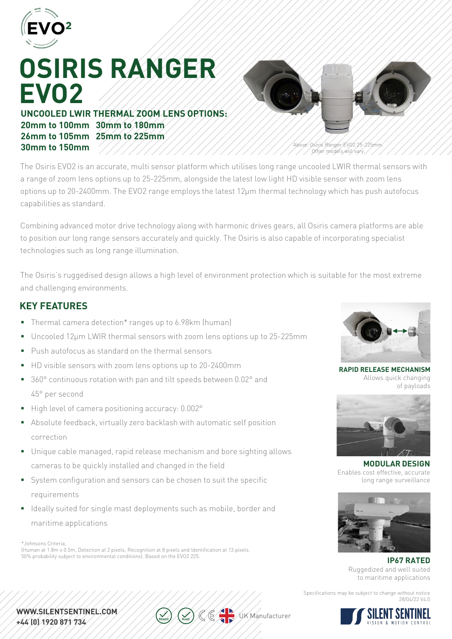

# **OSIRIS RANGER EVO2**

**UNCOOLED LWIR THERMAL ZOOM LENS OPTIONS: 20mm to 100mm 30mm to 180mm 26mm to 105mm 25mm to 225mm 30mm to 150mm**



Above: Osiris Ranger EVO2 25-225mm. Other models will vary.

The Osiris EVO2 is an accurate, multi sensor platform which utilises long range uncooled LWIR thermal sensors with a range of zoom lens options up to 25-225mm, alongside the latest low light HD visible sensor with zoom lens options up to 20-2400mm. The EVO2 range employs the latest 12μm thermal technology which has push autofocus capabilities as standard.

Combining advanced motor drive technology along with harmonic drives gears, all Osiris camera platforms are able to position our long range sensors accurately and quickly. The Osiris is also capable of incorporating specialist technologies such as long range illumination.

The Osiris's ruggedised design allows a high level of environment protection which is suitable for the most extreme and challenging environments.

### **KEY FEATURES**

- Thermal camera detection\* ranges up to 6.98km (human)
- Uncooled 12µm LWIR thermal sensors with zoom lens options up to 25-225mm
- **Push autofocus as standard on the thermal sensors**
- HD visible sensors with zoom lens options up to 20-2400mm
- 360° continuous rotation with pan and tilt speeds between 0.02° and 45° per second
- High level of camera positioning accuracy: 0.002°
- Absolute feedback, virtually zero backlash with automatic self position correction
- Unique cable managed, rapid release mechanism and bore sighting allows cameras to be quickly installed and changed in the field
- System configuration and sensors can be chosen to suit the specific requirements
- I Ideally suited for single mast deployments such as mobile, border and maritime applications

\*Johnsons Criteria,

(Human at 1.8m x 0.5m, Detection at 2 pixels, Recognition at 8 pixels and Identification at 13 pixels. 50% probability subject to environmental conditions). Based on the EVO2 225.



**RAPID RELEASE MECHANISM** Allows quick changing of payloads



**MODULAR DESIGN** Enables cost effective, accurate long range surveillance



**IP67 RATED** Ruggedized and well suited to maritime applications

Specifications may be subject to change without notice 28/04/22 V4.0



WWW.SILENTSENTINEL.COM. +44 (0) 1920 871 734

 $\sqrt{u}$ K Manufacturer